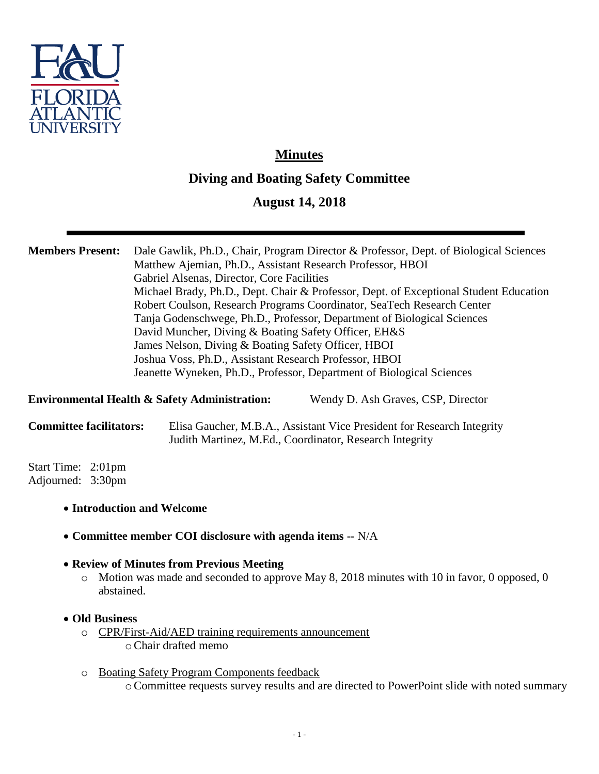

# **Minutes Diving and Boating Safety Committee**

# **August 14, 2018**

## **Members Present:** Dale Gawlik, Ph.D., Chair, Program Director & Professor, Dept. of Biological Sciences Matthew Ajemian, Ph.D., Assistant Research Professor, HBOI Gabriel Alsenas, Director, Core Facilities Michael Brady, Ph.D., Dept. Chair & Professor, Dept. of Exceptional Student Education Robert Coulson, Research Programs Coordinator, SeaTech Research Center Tanja Godenschwege, Ph.D., Professor, Department of Biological Sciences David Muncher, Diving & Boating Safety Officer, EH&S James Nelson, Diving & Boating Safety Officer, HBOI Joshua Voss, Ph.D., Assistant Research Professor, HBOI Jeanette Wyneken, Ph.D., Professor, Department of Biological Sciences

**Environmental Health & Safety Administration:** Wendy D. Ash Graves, CSP, Director

**Committee facilitators:** Elisa Gaucher, M.B.A., Assistant Vice President for Research Integrity Judith Martinez, M.Ed., Coordinator, Research Integrity

Start Time: 2:01pm Adjourned: 3:30pm

- **Introduction and Welcome**
- **Committee member COI disclosure with agenda items --** N/A
- **Review of Minutes from Previous Meeting**
	- o Motion was made and seconded to approve May 8, 2018 minutes with 10 in favor, 0 opposed, 0 abstained.
- **Old Business**
	- o CPR/First-Aid/AED training requirements announcement oChair drafted memo
	- o Boating Safety Program Components feedback oCommittee requests survey results and are directed to PowerPoint slide with noted summary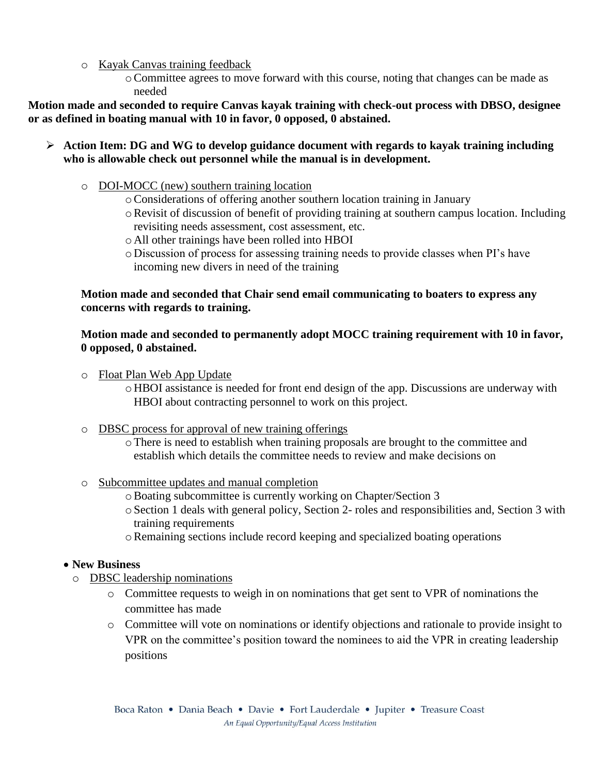- o Kayak Canvas training feedback
	- oCommittee agrees to move forward with this course, noting that changes can be made as needed

**Motion made and seconded to require Canvas kayak training with check-out process with DBSO, designee or as defined in boating manual with 10 in favor, 0 opposed, 0 abstained.**

- **Action Item: DG and WG to develop guidance document with regards to kayak training including who is allowable check out personnel while the manual is in development.** 
	- o DOI-MOCC (new) southern training location
		- oConsiderations of offering another southern location training in January
		- $\circ$  Revisit of discussion of benefit of providing training at southern campus location. Including revisiting needs assessment, cost assessment, etc.
		- o All other trainings have been rolled into HBOI
		- o Discussion of process for assessing training needs to provide classes when PI's have incoming new divers in need of the training

#### **Motion made and seconded that Chair send email communicating to boaters to express any concerns with regards to training.**

#### **Motion made and seconded to permanently adopt MOCC training requirement with 10 in favor, 0 opposed, 0 abstained.**

- o Float Plan Web App Update
	- o HBOI assistance is needed for front end design of the app. Discussions are underway with HBOI about contracting personnel to work on this project.
- o DBSC process for approval of new training offerings
	- oThere is need to establish when training proposals are brought to the committee and establish which details the committee needs to review and make decisions on
- o Subcommittee updates and manual completion
	- oBoating subcommittee is currently working on Chapter/Section 3
	- o Section 1 deals with general policy, Section 2- roles and responsibilities and, Section 3 with training requirements
	- oRemaining sections include record keeping and specialized boating operations

#### **New Business**

- o DBSC leadership nominations
	- o Committee requests to weigh in on nominations that get sent to VPR of nominations the committee has made
	- o Committee will vote on nominations or identify objections and rationale to provide insight to VPR on the committee's position toward the nominees to aid the VPR in creating leadership positions